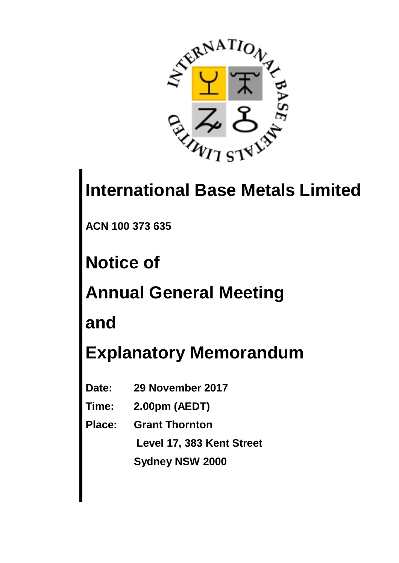

# **International Base Metals Limited**

**ACN 100 373 635**

**Notice of**

**Annual General Meeting**

**and**

**Explanatory Memorandum**

- **Date: 29 November 2017**
- **Time: 2.00pm (AEDT)**
- **Place: Grant Thornton**

 **Level 17, 383 Kent Street**

**Sydney NSW 2000**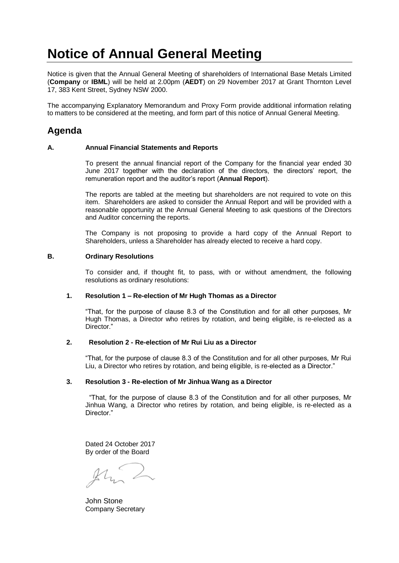# **Notice of Annual General Meeting**

Notice is given that the Annual General Meeting of shareholders of International Base Metals Limited (**Company** or **IBML**) will be held at 2.00pm (**AEDT**) on 29 November 2017 at Grant Thornton Level 17, 383 Kent Street, Sydney NSW 2000.

The accompanying Explanatory Memorandum and Proxy Form provide additional information relating to matters to be considered at the meeting, and form part of this notice of Annual General Meeting.

# **Agenda**

# **A. Annual Financial Statements and Reports**

To present the annual financial report of the Company for the financial year ended 30 June 2017 together with the declaration of the directors, the directors' report, the remuneration report and the auditor's report (**Annual Report**).

The reports are tabled at the meeting but shareholders are not required to vote on this item. Shareholders are asked to consider the Annual Report and will be provided with a reasonable opportunity at the Annual General Meeting to ask questions of the Directors and Auditor concerning the reports.

The Company is not proposing to provide a hard copy of the Annual Report to Shareholders, unless a Shareholder has already elected to receive a hard copy.

# **B. Ordinary Resolutions**

To consider and, if thought fit, to pass, with or without amendment, the following resolutions as ordinary resolutions:

## **1. Resolution 1 – Re-election of Mr Hugh Thomas as a Director**

"That, for the purpose of clause 8.3 of the Constitution and for all other purposes, Mr Hugh Thomas, a Director who retires by rotation, and being eligible, is re-elected as a Director."

# **2. Resolution 2 - Re-election of Mr Rui Liu as a Director**

"That, for the purpose of clause 8.3 of the Constitution and for all other purposes, Mr Rui Liu, a Director who retires by rotation, and being eligible, is re-elected as a Director."

## **3. Resolution 3 - Re-election of Mr Jinhua Wang as a Director**

 "That, for the purpose of clause 8.3 of the Constitution and for all other purposes, Mr Jinhua Wang, a Director who retires by rotation, and being eligible, is re-elected as a Director."

Dated 24 October 2017 By order of the Board

John Stone Company Secretary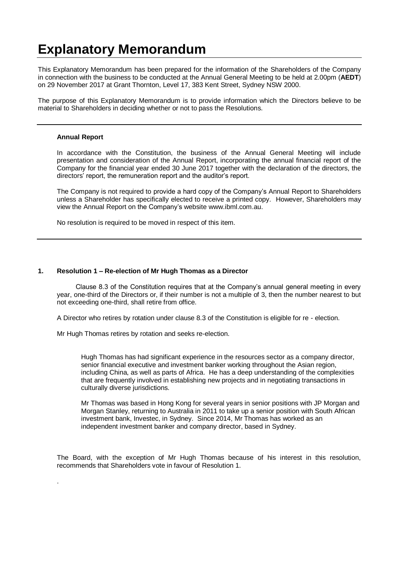# **Explanatory Memorandum**

This Explanatory Memorandum has been prepared for the information of the Shareholders of the Company in connection with the business to be conducted at the Annual General Meeting to be held at 2.00pm (**AEDT**) on 29 November 2017 at Grant Thornton, Level 17, 383 Kent Street, Sydney NSW 2000.

The purpose of this Explanatory Memorandum is to provide information which the Directors believe to be material to Shareholders in deciding whether or not to pass the Resolutions.

## **Annual Report**

.

In accordance with the Constitution, the business of the Annual General Meeting will include presentation and consideration of the Annual Report, incorporating the annual financial report of the Company for the financial year ended 30 June 2017 together with the declaration of the directors, the directors' report, the remuneration report and the auditor's report.

The Company is not required to provide a hard copy of the Company's Annual Report to Shareholders unless a Shareholder has specifically elected to receive a printed copy. However, Shareholders may view the Annual Report on the Company's website [www.ibml.com.au.](http://www.ibml.com.au/)

No resolution is required to be moved in respect of this item.

# **1. Resolution 1 – Re-election of Mr Hugh Thomas as a Director**

 Clause 8.3 of the Constitution requires that at the Company's annual general meeting in every year, one-third of the Directors or, if their number is not a multiple of 3, then the number nearest to but not exceeding one-third, shall retire from office.

A Director who retires by rotation under clause 8.3 of the Constitution is eligible for re - election.

Mr Hugh Thomas retires by rotation and seeks re-election.

Hugh Thomas has had significant experience in the resources sector as a company director, senior financial executive and investment banker working throughout the Asian region, including China, as well as parts of Africa. He has a deep understanding of the complexities that are frequently involved in establishing new projects and in negotiating transactions in culturally diverse jurisdictions.

Mr Thomas was based in Hong Kong for several years in senior positions with JP Morgan and Morgan Stanley, returning to Australia in 2011 to take up a senior position with South African investment bank, Investec, in Sydney. Since 2014, Mr Thomas has worked as an independent investment banker and company director, based in Sydney.

The Board, with the exception of Mr Hugh Thomas because of his interest in this resolution, recommends that Shareholders vote in favour of Resolution 1.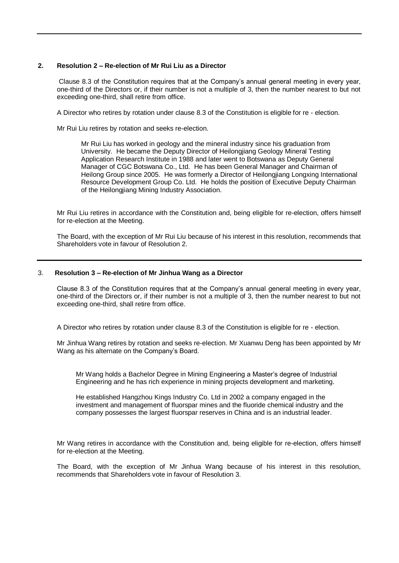# **2. Resolution 2 – Re-election of Mr Rui Liu as a Director**

Clause 8.3 of the Constitution requires that at the Company's annual general meeting in every year, one-third of the Directors or, if their number is not a multiple of 3, then the number nearest to but not exceeding one-third, shall retire from office.

A Director who retires by rotation under clause 8.3 of the Constitution is eligible for re - election.

Mr Rui Liu retires by rotation and seeks re-election.

Mr Rui Liu has worked in geology and the mineral industry since his graduation from University. He became the Deputy Director of Heilongjiang Geology Mineral Testing Application Research Institute in 1988 and later went to Botswana as Deputy General Manager of CGC Botswana Co., Ltd. He has been General Manager and Chairman of Heilong Group since 2005. He was formerly a Director of Heilongjiang Longxing International Resource Development Group Co. Ltd. He holds the position of Executive Deputy Chairman of the Heilongjiang Mining Industry Association.

Mr Rui Liu retires in accordance with the Constitution and, being eligible for re-election, offers himself for re-election at the Meeting.

The Board, with the exception of Mr Rui Liu because of his interest in this resolution, recommends that Shareholders vote in favour of Resolution 2.

## 3. **Resolution 3 – Re-election of Mr Jinhua Wang as a Director**

Clause 8.3 of the Constitution requires that at the Company's annual general meeting in every year, one-third of the Directors or, if their number is not a multiple of 3, then the number nearest to but not exceeding one-third, shall retire from office.

A Director who retires by rotation under clause 8.3 of the Constitution is eligible for re - election.

Mr Jinhua Wang retires by rotation and seeks re-election. Mr Xuanwu Deng has been appointed by Mr Wang as his alternate on the Company's Board.

Mr Wang holds a Bachelor Degree in Mining Engineering a Master's degree of Industrial Engineering and he has rich experience in mining projects development and marketing.

He established Hangzhou Kings Industry Co. Ltd in 2002 a company engaged in the investment and management of fluorspar mines and the fluoride chemical industry and the company possesses the largest fluorspar reserves in China and is an industrial leader.

Mr Wang retires in accordance with the Constitution and, being eligible for re-election, offers himself for re-election at the Meeting.

The Board, with the exception of Mr Jinhua Wang because of his interest in this resolution, recommends that Shareholders vote in favour of Resolution 3.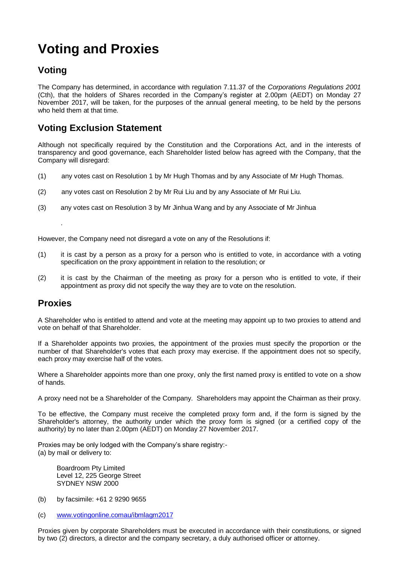# **Voting and Proxies**

# **Voting**

The Company has determined, in accordance with regulation 7.11.37 of the *Corporations Regulations 2001* (Cth), that the holders of Shares recorded in the Company's register at 2.00pm (AEDT) on Monday 27 November 2017, will be taken, for the purposes of the annual general meeting, to be held by the persons who held them at that time.

# **Voting Exclusion Statement**

Although not specifically required by the Constitution and the Corporations Act, and in the interests of transparency and good governance, each Shareholder listed below has agreed with the Company, that the Company will disregard:

- (1) any votes cast on Resolution 1 by Mr Hugh Thomas and by any Associate of Mr Hugh Thomas.
- (2) any votes cast on Resolution 2 by Mr Rui Liu and by any Associate of Mr Rui Liu.
- (3) any votes cast on Resolution 3 by Mr Jinhua Wang and by any Associate of Mr Jinhua

However, the Company need not disregard a vote on any of the Resolutions if:

- (1) it is cast by a person as a proxy for a person who is entitled to vote, in accordance with a voting specification on the proxy appointment in relation to the resolution; or
- (2) it is cast by the Chairman of the meeting as proxy for a person who is entitled to vote, if their appointment as proxy did not specify the way they are to vote on the resolution.

# **Proxies**

.

A Shareholder who is entitled to attend and vote at the meeting may appoint up to two proxies to attend and vote on behalf of that Shareholder.

If a Shareholder appoints two proxies, the appointment of the proxies must specify the proportion or the number of that Shareholder's votes that each proxy may exercise. If the appointment does not so specify, each proxy may exercise half of the votes.

Where a Shareholder appoints more than one proxy, only the first named proxy is entitled to vote on a show of hands.

A proxy need not be a Shareholder of the Company. Shareholders may appoint the Chairman as their proxy.

To be effective, the Company must receive the completed proxy form and, if the form is signed by the Shareholder's attorney, the authority under which the proxy form is signed (or a certified copy of the authority) by no later than 2.00pm (AEDT) on Monday 27 November 2017.

Proxies may be only lodged with the Company's share registry:- (a) by mail or delivery to:

 Boardroom Pty Limited Level 12, 225 George Street SYDNEY NSW 2000

- (b) by facsimile: +61 2 9290 9655
- (c) www.votingonline.comau/ibmlagm2017

Proxies given by corporate Shareholders must be executed in accordance with their constitutions, or signed by two (2) directors, a director and the company secretary, a duly authorised officer or attorney.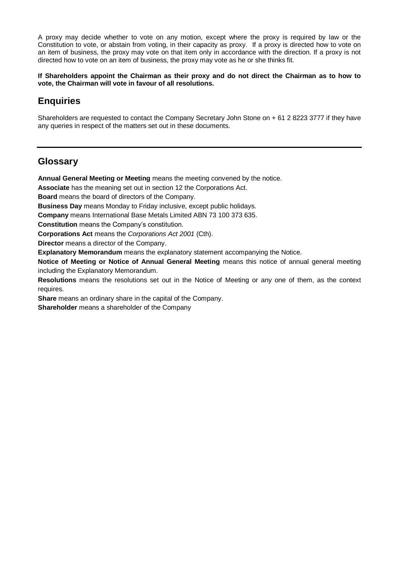A proxy may decide whether to vote on any motion, except where the proxy is required by law or the Constitution to vote, or abstain from voting, in their capacity as proxy. If a proxy is directed how to vote on an item of business, the proxy may vote on that item only in accordance with the direction. If a proxy is not directed how to vote on an item of business, the proxy may vote as he or she thinks fit.

**If Shareholders appoint the Chairman as their proxy and do not direct the Chairman as to how to vote, the Chairman will vote in favour of all resolutions.**

# **Enquiries**

Shareholders are requested to contact the Company Secretary John Stone on + 61 2 8223 3777 if they have any queries in respect of the matters set out in these documents.

# **Glossary**

**Annual General Meeting or Meeting** means the meeting convened by the notice.

**Associate** has the meaning set out in section 12 the Corporations Act.

**Board** means the board of directors of the Company.

**Business Day** means Monday to Friday inclusive, except public holidays.

**Company** means International Base Metals Limited ABN 73 100 373 635.

**Constitution** means the Company's constitution.

**Corporations Act** means the *Corporations Act 2001* (Cth).

**Director** means a director of the Company.

**Explanatory Memorandum** means the explanatory statement accompanying the Notice.

**Notice of Meeting or Notice of Annual General Meeting** means this notice of annual general meeting including the Explanatory Memorandum.

**Resolutions** means the resolutions set out in the Notice of Meeting or any one of them, as the context requires.

**Share** means an ordinary share in the capital of the Company.

**Shareholder** means a shareholder of the Company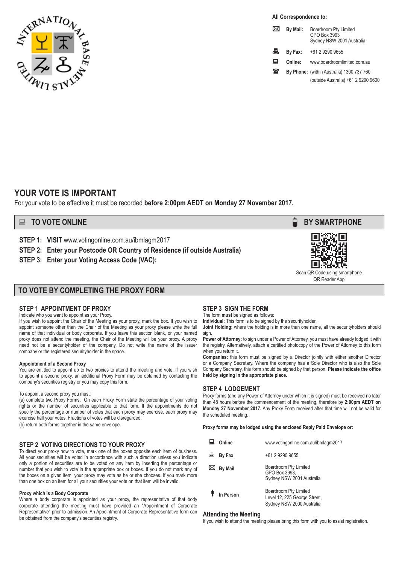

**All Correspondence to:**

|   | By Mail: | <b>Boardroom Pty Limited</b><br>GPO Box 3993<br>Sydney NSW 2001 Australia |
|---|----------|---------------------------------------------------------------------------|
| 瞐 | By Fax:  | +61 2 9290 9655                                                           |
| ш | Online:  | www.boardroomlimited.com.au                                               |
| ж |          | By Phone: (within Australia) 1300 737 760                                 |
|   |          | (outside Australia) +61 2 9290 9600                                       |

# **YOUR VOTE IS IMPORTANT**

For your vote to be effective it must be recorded **before 2:00pm AEDT on Monday 27 November 2017.**

**STEP 1: VISIT** www.votingonline.com.au/ibmlagm2017

**STEP 2: Enter your Postcode OR Country of Residence (if outside Australia)**

**STEP 3: Enter your Voting Access Code (VAC):**

# **TO VOTE BY COMPLETING THE PROXY FORM**

# **STEP 1 APPOINTMENT OF PROXY**

Indicate who you want to appoint as your Proxy.

If you wish to appoint the Chair of the Meeting as your proxy, mark the box. If you wish to appoint someone other than the Chair of the Meeting as your proxy please write the full name of that individual or body corporate. If you leave this section blank, or your named proxy does not attend the meeting, the Chair of the Meeting will be your proxy. A proxy need not be a securityholder of the company. Do not write the name of the issuer company or the registered securityholder in the space.

#### **Appointment of a Second Proxy**

You are entitled to appoint up to two proxies to attend the meeting and vote. If you wish to appoint a second proxy, an additional Proxy Form may be obtained by contacting the company's securities registry or you may copy this form.

#### To appoint a second proxy you must:

(a) complete two Proxy Forms. On each Proxy Form state the percentage of your voting rights or the number of securities applicable to that form. If the appointments do not specify the percentage or number of votes that each proxy may exercise, each proxy may exercise half your votes. Fractions of votes will be disregarded.

(b) return both forms together in the same envelope.

#### **STEP 2 VOTING DIRECTIONS TO YOUR PROXY**

To direct your proxy how to vote, mark one of the boxes opposite each item of business. All your securities will be voted in accordance with such a direction unless you indicate only a portion of securities are to be voted on any item by inserting the percentage or number that you wish to vote in the appropriate box or boxes. If you do not mark any of the boxes on a given item, your proxy may vote as he or she chooses. If you mark more than one box on an item for all your securities your vote on that item will be invalid.

#### **Proxy which is a Body Corporate**

Where a body corporate is appointed as your proxy, the representative of that body corporate attending the meeting must have provided an "Appointment of Corporate Representative" prior to admission. An Appointment of Corporate Representative form can be obtained from the company's securities registry.

# **STEP 3 SIGN THE FORM**

The form **must** be signed as follows: **Individual:** This form is to be signed by the securityholder.

**Joint Holding:** where the holding is in more than one name, all the securityholders should sign.

Power of Attorney: to sign under a Power of Attorney, you must have already lodged it with the registry. Alternatively, attach a certified photocopy of the Power of Attorney to this form when you return it.

**Companies:** this form must be signed by a Director jointly with either another Director or a Company Secretary. Where the company has a Sole Director who is also the Sole Company Secretary, this form should be signed by that person. **Please indicate the office held by signing in the appropriate place.**

#### **STEP 4 LODGEMENT**

Proxy forms (and any Power of Attorney under which it is signed) must be received no later than 48 hours before the commencement of the meeting, therefore by **2:00pm AEDT on Monday 27 November 2017.** Any Proxy Form received after that time will not be valid for the scheduled meeting.

**Proxy forms may be lodged using the enclosed Reply Paid Envelope or:**

| Online             | www.votingonline.com.au/ibmlagm2017                                                |
|--------------------|------------------------------------------------------------------------------------|
| 县<br><b>By Fax</b> | +61 2 9290 9655                                                                    |
| <b>By Mail</b>     | Boardroom Pty Limited<br>GPO Box 3993,<br>Sydney NSW 2001 Australia                |
| In Person          | Boardroom Pty Limited<br>Level 12, 225 George Street,<br>Sydney NSW 2000 Australia |

#### **Attending the Meeting**

If you wish to attend the meeting please bring this form with you to assist registration.





Scan QR Code using smartphone QR Reader App